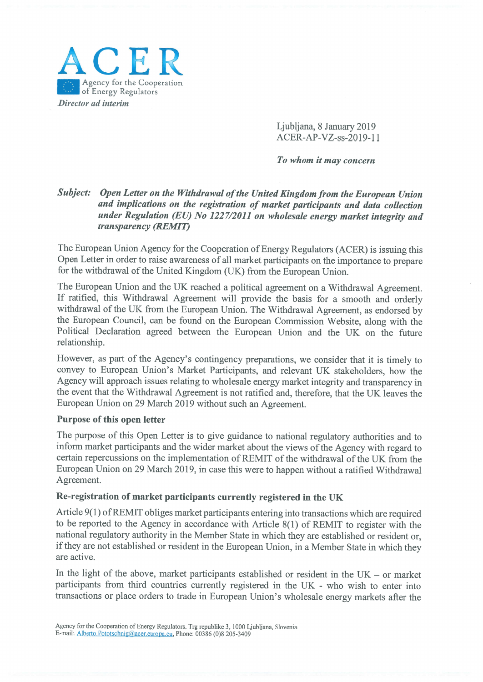

Ljubljana, 8 January 2019 ACER-AP-VZ-ss-2019-1 1

To whom it may concern

## Subiect: Open Letter on the Withdrawal of the United Kingdom from the European Union and implications on the registration of market participants and data collection under Regulation (EU) No 1227/2011 on wholesale energy market integrity and transparency (REMIT)

The European Union Agency for the Cooperation of Energy Regulators (ACER) is issuing this Open Letter in order to raise awareness of all market participants on the importance to prepare for the withdrawal of the United Kingdom (UK) from the European Union.

The European Union and the UK reached <sup>a</sup> political agreement on <sup>a</sup> Withdrawal Agreement. If ratified, this Withdrawal Agreement will provide the basis for <sup>a</sup> smooth and orderly withdrawal of the UK from the European Union. The Withdrawal Agreement, as endorsed by the European Council, can be found on the European Commission Website, along with the Political Declaration agreed between the European Union and the UK on the future relationship.

However, as part of the Agency's contingency preparations, we consider that it is timely to convey to European Union's Market Participants, and relevant UK stakeholders, how the Agency will approach issues relating to wholesale energy market integrity and transparency in the event that the Withdrawal Agreement is not ratified and, therefore, that the UK leaves the European Union on 29 March 2019 without such an Agreement.

## Purpose of this open letter

The purpose of this Open Letter is to <sup>g</sup>ive guidance to national regulatory authorities and to inform market participants and the wider market about the views of the Agency with regard to certain repercussions on the implementation of REMIT of the withdrawal of the UK from the European Union on <sup>29</sup> March 2019, in case this were to happen without <sup>a</sup> ratified Withdrawal Agreement.

## Re-registration of market participants currently registered in the UK

Article 9(1) of REMIT obliges market participants entering into transactions which are required to be reported to the Agency in accordance with Article 8(1) of REMIT to register with the national regulatory authority in the Member State in which they are established or resident or, if they are not established or resident in the European Union, in a Member State in which they are active.

In the light of the above, market participants established or resident in the  $UK - or$  market participants from third countries currently registered in the UK - who wish to enter into transactions or <sup>p</sup>lace orders to trade in European Union's wholesale energy markets after the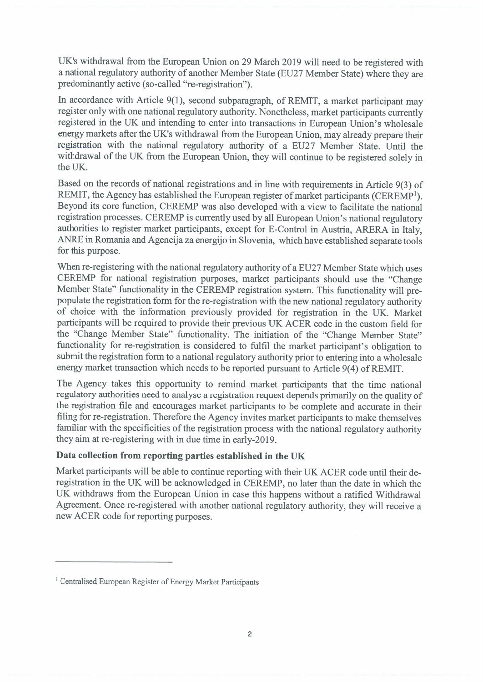UK's withdrawal from the European Union on <sup>29</sup> March <sup>2019</sup> will need to be registered with <sup>a</sup> national regulatory authority of another Member State (EU27 Member State) where they are predominantly active (so-called "re-registration").

In accordance with Article 9(1), second subparagraph, of REMIT, <sup>a</sup> market participant may register only with one national regulatory authority. Nonetheless, market participants currently registered in the UK and intending to enter into transactions in European Union's wholesale energy markets after the UK's withdrawal from the European Union, may already prepare their registration with the national regulatory authority of <sup>a</sup> EU27 Member State. Until the withdrawal of the UK from the European Union, they will continue to be registered solely in the UK.

Based on the records of national registrations and in line with requirements in Article 9(3) of REMIT, the Agency has established the European register of market participants (CEREMP<sup>1</sup>). Beyond its core function, CEREMP was also developed with <sup>a</sup> view to facilitate the national registration processes. CEREMP is currently used by all European Union's national regulatory authorities to register market participants, excep<sup>t</sup> for E-Control in Austria, ARERA in Italy, ANRE in Romania and Agencija za energijo in Slovenia, which have established separate tools for this purpose.

When re-registering with the national regulatory authority of a EU27 Member State which uses CEREMP for national registration purposes, market participants should use the "Change Member State" functionality in the CEREMP registration system. This functionality will pre populate the registration form for the re-registration with the new national regulatory authority of choice with the information previously provided for registration in the UK. Market participants will be required to provide their previous UK ACER code in the custom field for the "Change Member State" functionality. The initiation of the "Change Member State" functionality for re-registration is considered to fulfil the market participant's obligation to submit the registration form to <sup>a</sup> national regulatory authority prior to entering into <sup>a</sup> wholesale energy market transaction which needs to be reported pursuan<sup>t</sup> to Article 9(4) of REMIT.

The Agency takes this opportunity to remind market participants that the time national regulatory authorities need to analyse <sup>a</sup> registration reques<sup>t</sup> depends primarily on the quality of the registration file and encourages market participants to be complete and accurate in their filing for re-registration. Therefore the Agency invites market participants to make themselves familiar with the specificities of the registration process with the national regulatory authority they aim at re-registering with in due time in early-2019.

## Data collection from reporting parties established in the UK

Market participants will be able to continue reporting with their UK ACER code until their de registration in the UK will be acknowledged in CEREMP, no later than the date in which the UK withdraws from the European Union in case this happens without <sup>a</sup> ratified Withdrawal Agreement. Once re-registered with another national regulatory authority, they will receive <sup>a</sup> new ACER code for reporting purposes.

<sup>1</sup> Centralised European Register of Energy Market Participants